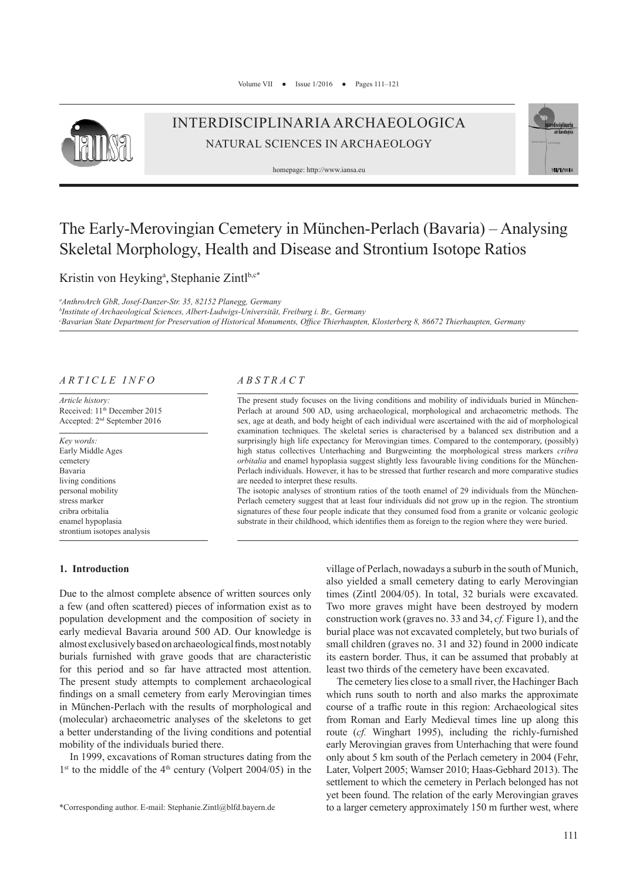

# INTERDISCIPLINARIA ARCHAEOLOGICA NATURAL SCIENCES IN ARCHAEOLOGY

homepage: http://www.iansa.eu



# The Early-Merovingian Cemetery in München-Perlach (Bavaria) – Analysing Skeletal Morphology, Health and Disease and Strontium Isotope Ratios

Kristin von Heyking<sup>a</sup>, Stephanie Zintl<sup>b,c\*</sup>

*a AnthroArch GbR, Josef-Danzer-Str. 35, 82152 Planegg, Germany b Institute of Archaeological Sciences, Albert-Ludwigs-Universität, Freiburg i. Br., Germany c Bavarian State Department for Preservation of Historical Monuments, Office Thierhaupten, Klosterberg 8, 86672 Thierhaupten, Germany*

# *ARTICLE INFO*

*Article history:* Received: 11<sup>th</sup> December 2015 Accepted: 2nd September 2016

*Key words:* Early Middle Ages cemetery Bavaria living conditions personal mobility stress marker cribra orbitalia enamel hypoplasia strontium isotopes analysis

#### **1. Introduction**

# *ABSTRACT*

The present study focuses on the living conditions and mobility of individuals buried in München-Perlach at around 500 AD, using archaeological, morphological and archaeometric methods. The sex, age at death, and body height of each individual were ascertained with the aid of morphological examination techniques. The skeletal series is characterised by a balanced sex distribution and a surprisingly high life expectancy for Merovingian times. Compared to the contemporary, (possibly) high status collectives Unterhaching and Burgweinting the morphological stress markers *cribra orbitalia* and enamel hypoplasia suggest slightly less favourable living conditions for the München-Perlach individuals. However, it has to be stressed that further research and more comparative studies are needed to interpret these results.

The isotopic analyses of strontium ratios of the tooth enamel of 29 individuals from the München-Perlach cemetery suggest that at least four individuals did not grow up in the region. The strontium signatures of these four people indicate that they consumed food from a granite or volcanic geologic substrate in their childhood, which identifies them as foreign to the region where they were buried.

Due to the almost complete absence of written sources only a few (and often scattered) pieces of information exist as to population development and the composition of society in early medieval Bavaria around 500 AD. Our knowledge is almost exclusively based on archaeological finds, most notably burials furnished with grave goods that are characteristic for this period and so far have attracted most attention. The present study attempts to complement archaeological findings on a small cemetery from early Merovingian times in München-Perlach with the results of morphological and (molecular) archaeometric analyses of the skeletons to get a better understanding of the living conditions and potential mobility of the individuals buried there.

In 1999, excavations of Roman structures dating from the  $1<sup>st</sup>$  to the middle of the 4<sup>th</sup> century (Volpert 2004/05) in the village of Perlach, nowadays a suburb in the south of Munich, also yielded a small cemetery dating to early Merovingian times (Zintl 2004/05). In total, 32 burials were excavated. Two more graves might have been destroyed by modern construction work (graves no. 33 and 34, *cf.* Figure 1), and the burial place was not excavated completely, but two burials of small children (graves no. 31 and 32) found in 2000 indicate its eastern border. Thus, it can be assumed that probably at least two thirds of the cemetery have been excavated.

The cemetery lies close to a small river, the Hachinger Bach which runs south to north and also marks the approximate course of a traffic route in this region: Archaeological sites from Roman and Early Medieval times line up along this route (*cf.* Winghart 1995), including the richly-furnished early Merovingian graves from Unterhaching that were found only about 5 km south of the Perlach cemetery in 2004 (Fehr, Later, Volpert 2005; Wamser 2010; Haas-Gebhard 2013). The settlement to which the cemetery in Perlach belonged has not yet been found. The relation of the early Merovingian graves to a larger cemetery approximately 150 m further west, where

<sup>\*</sup>Corresponding author. E-mail: Stephanie.Zintl@blfd.bayern.de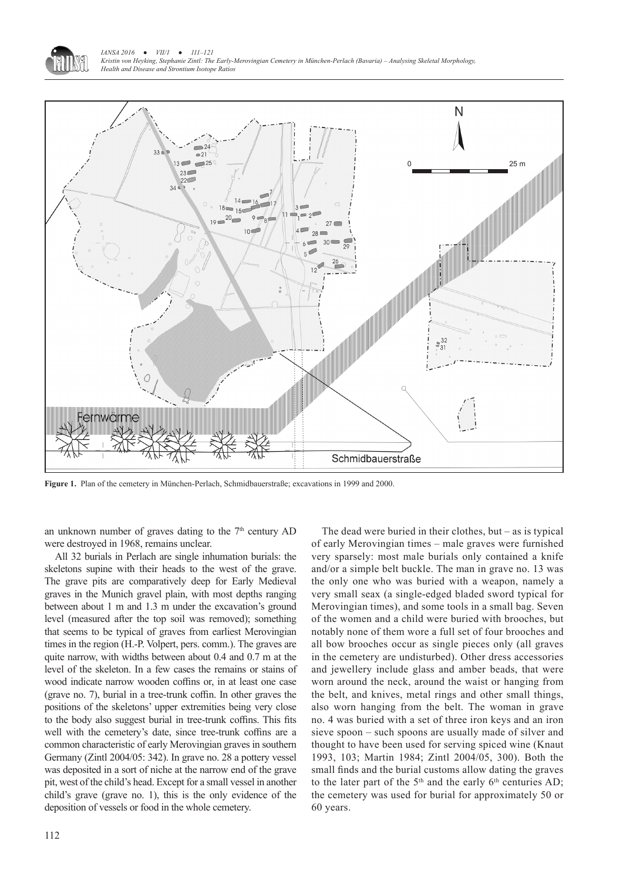



**Figure 1.** Plan of the cemetery in München-Perlach, Schmidbauerstraße; excavations in 1999 and 2000.

an unknown number of graves dating to the  $7<sup>th</sup>$  century AD were destroyed in 1968, remains unclear.

All 32 burials in Perlach are single inhumation burials: the skeletons supine with their heads to the west of the grave. The grave pits are comparatively deep for Early Medieval graves in the Munich gravel plain, with most depths ranging between about 1 m and 1.3 m under the excavation's ground level (measured after the top soil was removed); something that seems to be typical of graves from earliest Merovingian times in the region (H.-P. Volpert, pers. comm.). The graves are quite narrow, with widths between about 0.4 and 0.7 m at the level of the skeleton. In a few cases the remains or stains of wood indicate narrow wooden coffins or, in at least one case (grave no. 7), burial in a tree-trunk coffin. In other graves the positions of the skeletons' upper extremities being very close to the body also suggest burial in tree-trunk coffins. This fits well with the cemetery's date, since tree-trunk coffins are a common characteristic of early Merovingian graves in southern Germany (Zintl 2004/05: 342). In grave no. 28 a pottery vessel was deposited in a sort of niche at the narrow end of the grave pit, west of the child's head. Except for a small vessel in another child's grave (grave no. 1), this is the only evidence of the deposition of vessels or food in the whole cemetery.

very sparsely: most male burials only contained a knife and/or a simple belt buckle. The man in grave no. 13 was the only one who was buried with a weapon, namely a very small seax (a single-edged bladed sword typical for Merovingian times), and some tools in a small bag. Seven of the women and a child were buried with brooches, but notably none of them wore a full set of four brooches and all bow brooches occur as single pieces only (all graves in the cemetery are undisturbed). Other dress accessories and jewellery include glass and amber beads, that were worn around the neck, around the waist or hanging from the belt, and knives, metal rings and other small things, also worn hanging from the belt. The woman in grave no. 4 was buried with a set of three iron keys and an iron sieve spoon – such spoons are usually made of silver and thought to have been used for serving spiced wine (Knaut 1993, 103; Martin 1984; Zintl 2004/05, 300). Both the small finds and the burial customs allow dating the graves to the later part of the  $5<sup>th</sup>$  and the early  $6<sup>th</sup>$  centuries AD; the cemetery was used for burial for approximately 50 or 60 years.

The dead were buried in their clothes, but – as is typical of early Merovingian times – male graves were furnished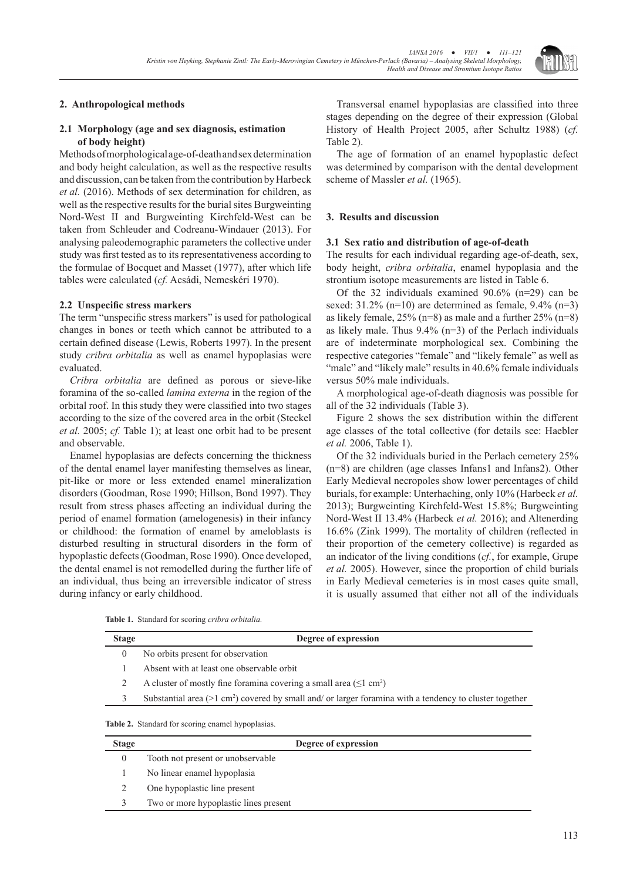

# **2. Anthropological methods**

# **2.1 Morphology (age and sex diagnosis, estimation of body height)**

Methods of morphological age-of-death and sex determination and body height calculation, as well as the respective results and discussion, can be taken from the contribution by Harbeck *et al.* (2016). Methods of sex determination for children, as well as the respective results for the burial sites Burgweinting Nord-West II and Burgweinting Kirchfeld-West can be taken from Schleuder and Codreanu-Windauer (2013). For analysing paleodemographic parameters the collective under study was first tested as to its representativeness according to the formulae of Bocquet and Masset (1977), after which life tables were calculated (*cf.* Acsádi, Nemeskéri 1970).

# **2.2 Unspecific stress markers**

The term "unspecific stress markers" is used for pathological changes in bones or teeth which cannot be attributed to a certain defined disease (Lewis, Roberts 1997). In the present study *cribra orbitalia* as well as enamel hypoplasias were evaluated.

*Cribra orbitalia* are defined as porous or sieve-like foramina of the so-called *lamina externa* in the region of the orbital roof. In this study they were classified into two stages according to the size of the covered area in the orbit (Steckel *et al.* 2005; *cf.* Table 1); at least one orbit had to be present and observable.

Enamel hypoplasias are defects concerning the thickness of the dental enamel layer manifesting themselves as linear, pit-like or more or less extended enamel mineralization disorders (Goodman, Rose 1990; Hillson, Bond 1997). They result from stress phases affecting an individual during the period of enamel formation (amelogenesis) in their infancy or childhood: the formation of enamel by ameloblasts is disturbed resulting in structural disorders in the form of hypoplastic defects (Goodman, Rose 1990). Once developed, the dental enamel is not remodelled during the further life of an individual, thus being an irreversible indicator of stress during infancy or early childhood.

Transversal enamel hypoplasias are classified into three stages depending on the degree of their expression (Global History of Health Project 2005, after Schultz 1988) (*cf.* Table 2).

The age of formation of an enamel hypoplastic defect was determined by comparison with the dental development scheme of Massler *et al.* (1965).

# **3. Results and discussion**

#### **3.1 Sex ratio and distribution of age-of-death**

The results for each individual regarding age-of-death, sex, body height, *cribra orbitalia*, enamel hypoplasia and the strontium isotope measurements are listed in Table 6.

Of the 32 individuals examined 90.6% (n=29) can be sexed:  $31.2\%$  (n=10) are determined as female,  $9.4\%$  (n=3) as likely female, 25% (n=8) as male and a further 25% (n=8) as likely male. Thus  $9.4\%$  (n=3) of the Perlach individuals are of indeterminate morphological sex. Combining the respective categories "female" and "likely female" as well as "male" and "likely male" results in 40.6% female individuals versus 50% male individuals.

A morphological age-of-death diagnosis was possible for all of the 32 individuals (Table 3).

Figure 2 shows the sex distribution within the different age classes of the total collective (for details see: Haebler *et al.* 2006, Table 1).

Of the 32 individuals buried in the Perlach cemetery 25% (n=8) are children (age classes Infans1 and Infans2). Other Early Medieval necropoles show lower percentages of child burials, for example: Unterhaching, only 10% (Harbeck *et al.* 2013); Burgweinting Kirchfeld-West 15.8%; Burgweinting Nord-West II 13.4% (Harbeck *et al.* 2016); and Altenerding 16.6% (Zink 1999). The mortality of children (reflected in their proportion of the cemetery collective) is regarded as an indicator of the living conditions (*cf.*, for example, Grupe *et al.* 2005). However, since the proportion of child burials in Early Medieval cemeteries is in most cases quite small, it is usually assumed that either not all of the individuals

**Table 1.** Standard for scoring *cribra orbitalia.*

| <b>Stage</b> | Degree of expression                                                                                                   |
|--------------|------------------------------------------------------------------------------------------------------------------------|
|              | No orbits present for observation                                                                                      |
|              | Absent with at least one observable orbit                                                                              |
|              | A cluster of mostly fine foramina covering a small area $(\leq 1$ cm <sup>2</sup> )                                    |
|              | Substantial area ( $>1$ cm <sup>2</sup> ) covered by small and/ or larger foramina with a tendency to cluster together |
|              |                                                                                                                        |

**Table 2.** Standard for scoring enamel hypoplasias.

| <b>Stage</b> | Degree of expression                  |
|--------------|---------------------------------------|
| $\Omega$     | Tooth not present or unobservable     |
|              | No linear enamel hypoplasia           |
|              | One hypoplastic line present          |
|              | Two or more hypoplastic lines present |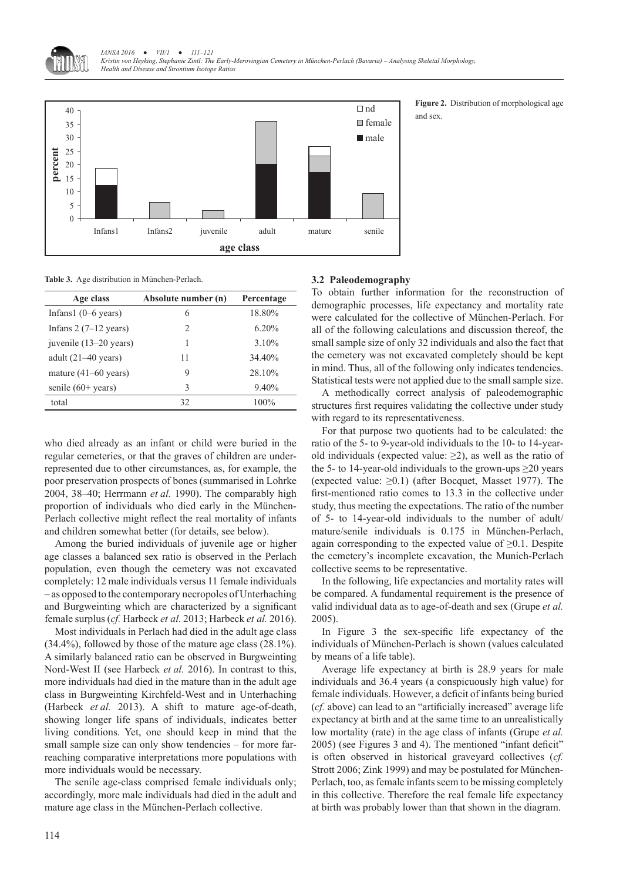



**Figure 2.** Distribution of morphological age and sex.

**Table 3.** Age distribution in München-Perlach.

| Age class                      | Absolute number (n)           | Percentage |  |
|--------------------------------|-------------------------------|------------|--|
| Infans1 $(0-6$ years)          | 6                             | 18.80%     |  |
| Infans $2(7-12 \text{ years})$ | $\mathfrak{D}_{\mathfrak{p}}$ | $6.20\%$   |  |
| juvenile (13–20 years)         | 1                             | 3.10%      |  |
| adult $(21-40 \text{ years})$  | 11                            | 34.40%     |  |
| mature $(41-60 \text{ years})$ | 9                             | 28.10%     |  |
| senile $(60+ \text{years})$    | 3                             | 9.40%      |  |
| total                          | 32                            | $100\%$    |  |

who died already as an infant or child were buried in the regular cemeteries, or that the graves of children are underrepresented due to other circumstances, as, for example, the poor preservation prospects of bones (summarised in Lohrke 2004, 38–40; Herrmann *et al.* 1990). The comparably high proportion of individuals who died early in the München-Perlach collective might reflect the real mortality of infants and children somewhat better (for details, see below).

Among the buried individuals of juvenile age or higher age classes a balanced sex ratio is observed in the Perlach population, even though the cemetery was not excavated completely: 12 male individuals versus 11 female individuals – as opposed to the contemporary necropoles of Unterhaching and Burgweinting which are characterized by a significant female surplus (*cf.* Harbeck *et al.* 2013; Harbeck *et al.* 2016).

Most individuals in Perlach had died in the adult age class (34.4%), followed by those of the mature age class (28.1%). A similarly balanced ratio can be observed in Burgweinting Nord-West II (see Harbeck *et al.* 2016). In contrast to this, more individuals had died in the mature than in the adult age class in Burgweinting Kirchfeld-West and in Unterhaching (Harbeck *et al.* 2013). A shift to mature age-of-death, showing longer life spans of individuals, indicates better living conditions. Yet, one should keep in mind that the small sample size can only show tendencies – for more farreaching comparative interpretations more populations with more individuals would be necessary.

The senile age-class comprised female individuals only; accordingly, more male individuals had died in the adult and mature age class in the München-Perlach collective.

#### **3.2 Paleodemography**

To obtain further information for the reconstruction of demographic processes, life expectancy and mortality rate were calculated for the collective of München-Perlach. For all of the following calculations and discussion thereof, the small sample size of only 32 individuals and also the fact that the cemetery was not excavated completely should be kept in mind. Thus, all of the following only indicates tendencies. Statistical tests were not applied due to the small sample size.

A methodically correct analysis of paleodemographic structures first requires validating the collective under study with regard to its representativeness.

For that purpose two quotients had to be calculated: the ratio of the 5- to 9-year-old individuals to the 10- to 14-yearold individuals (expected value:  $\geq$ 2), as well as the ratio of the 5- to 14-year-old individuals to the grown-ups  $\geq$ 20 years (expected value:  $\geq 0.1$ ) (after Bocquet, Masset 1977). The first-mentioned ratio comes to 13.3 in the collective under study, thus meeting the expectations. The ratio of the number of 5- to 14-year-old individuals to the number of adult/ mature/senile individuals is 0.175 in München-Perlach, again corresponding to the expected value of  $\geq 0.1$ . Despite the cemetery's incomplete excavation, the Munich-Perlach collective seems to be representative.

In the following, life expectancies and mortality rates will be compared. A fundamental requirement is the presence of valid individual data as to age-of-death and sex (Grupe *et al.* 2005).

In Figure 3 the sex-specific life expectancy of the individuals of München-Perlach is shown (values calculated by means of a life table).

Average life expectancy at birth is 28.9 years for male individuals and 36.4 years (a conspicuously high value) for female individuals. However, a deficit of infants being buried (*cf.* above) can lead to an "artificially increased" average life expectancy at birth and at the same time to an unrealistically low mortality (rate) in the age class of infants (Grupe *et al.* 2005) (see Figures 3 and 4). The mentioned "infant deficit" is often observed in historical graveyard collectives (*cf.* Strott 2006; Zink 1999) and may be postulated for München-Perlach, too, as female infants seem to be missing completely in this collective. Therefore the real female life expectancy at birth was probably lower than that shown in the diagram.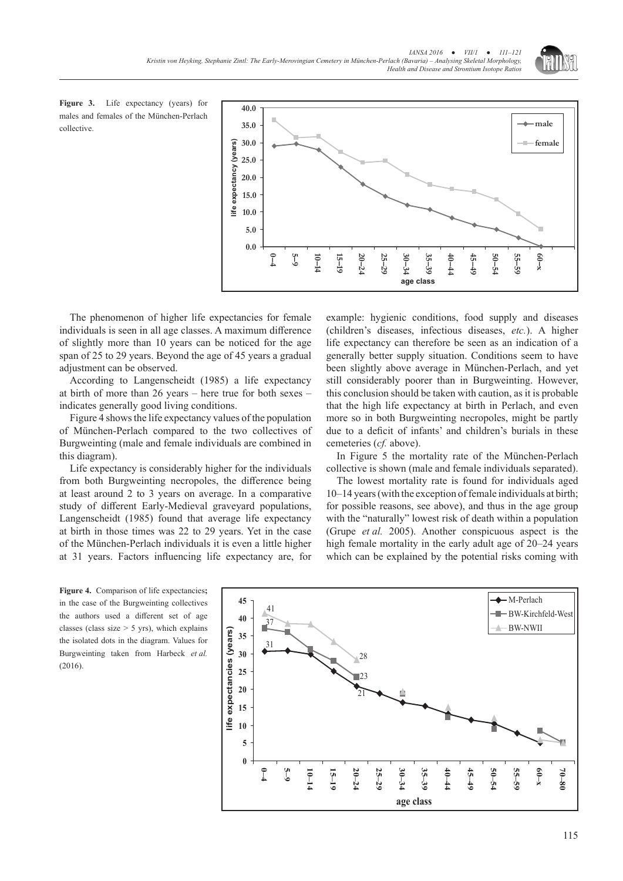

**Figure 3.** Life expectancy (years) for males and females of the München-Perlach collective.



The phenomenon of higher life expectancies for female individuals is seen in all age classes. A maximum difference of slightly more than 10 years can be noticed for the age span of 25 to 29 years. Beyond the age of 45 years a gradual adjustment can be observed.

According to Langenscheidt (1985) a life expectancy at birth of more than 26 years – here true for both sexes – indicates generally good living conditions.

Figure 4 shows the life expectancy values of the population of München-Perlach compared to the two collectives of Burgweinting (male and female individuals are combined in this diagram).

Life expectancy is considerably higher for the individuals from both Burgweinting necropoles, the difference being at least around 2 to 3 years on average. In a comparative study of different Early-Medieval graveyard populations, Langenscheidt (1985) found that average life expectancy at birth in those times was 22 to 29 years. Yet in the case of the München-Perlach individuals it is even a little higher at 31 years. Factors influencing life expectancy are, for

**Figure 4.** Comparison of life expectancies**;** in the case of the Burgweinting collectives the authors used a different set of age classes (class size  $> 5$  yrs), which explains the isolated dots in the diagram. Values for Burgweinting taken from Harbeck *et al.* (2016).

example: hygienic conditions, food supply and diseases (children's diseases, infectious diseases, *etc.*). A higher life expectancy can therefore be seen as an indication of a generally better supply situation. Conditions seem to have been slightly above average in München-Perlach, and yet still considerably poorer than in Burgweinting. However, this conclusion should be taken with caution, as it is probable that the high life expectancy at birth in Perlach, and even more so in both Burgweinting necropoles, might be partly due to a deficit of infants' and children's burials in these cemeteries (*cf.* above).

In Figure 5 the mortality rate of the München-Perlach collective is shown (male and female individuals separated).

The lowest mortality rate is found for individuals aged 10–14 years (with the exception of female individuals at birth; for possible reasons, see above), and thus in the age group with the "naturally" lowest risk of death within a population (Grupe *et al.* 2005). Another conspicuous aspect is the high female mortality in the early adult age of 20–24 years which can be explained by the potential risks coming with

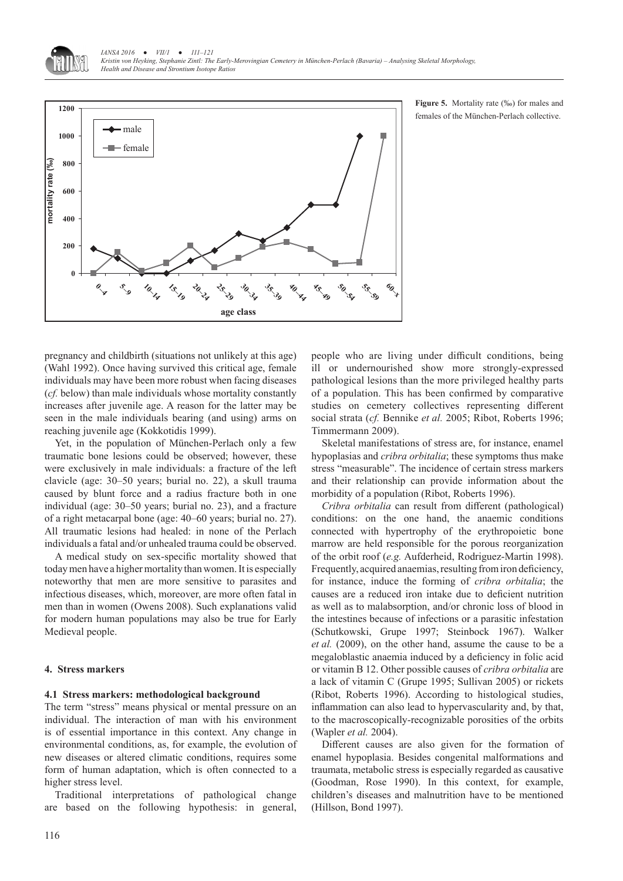*IANSA 2016 ● VII/1 ● 111–121 Kristin von Heyking, Stephanie Zintl: The Early-Merovingian Cemetery in München-Perlach (Bavaria) – Analysing Skeletal Morphology, Health and Disease and Strontium Isotope Ratios*



**Figure 5.** Mortality rate (‰) for males and females of the München-Perlach collective.

pregnancy and childbirth (situations not unlikely at this age) (Wahl 1992). Once having survived this critical age, female individuals may have been more robust when facing diseases (*cf.* below) than male individuals whose mortality constantly increases after juvenile age. A reason for the latter may be seen in the male individuals bearing (and using) arms on reaching juvenile age (Kokkotidis 1999).

Yet, in the population of München-Perlach only a few traumatic bone lesions could be observed; however, these were exclusively in male individuals: a fracture of the left clavicle (age: 30–50 years; burial no. 22), a skull trauma caused by blunt force and a radius fracture both in one individual (age: 30–50 years; burial no. 23), and a fracture of a right metacarpal bone (age: 40–60 years; burial no. 27). All traumatic lesions had healed: in none of the Perlach individuals a fatal and/or unhealed trauma could be observed.

A medical study on sex-specific mortality showed that today men have a higher mortality than women. It is especially noteworthy that men are more sensitive to parasites and infectious diseases, which, moreover, are more often fatal in men than in women (Owens 2008). Such explanations valid for modern human populations may also be true for Early Medieval people.

# **4. Stress markers**

#### **4.1 Stress markers: methodological background**

The term "stress" means physical or mental pressure on an individual. The interaction of man with his environment is of essential importance in this context. Any change in environmental conditions, as, for example, the evolution of new diseases or altered climatic conditions, requires some form of human adaptation, which is often connected to a higher stress level.

Traditional interpretations of pathological change are based on the following hypothesis: in general, people who are living under difficult conditions, being ill or undernourished show more strongly-expressed pathological lesions than the more privileged healthy parts of a population. This has been confirmed by comparative studies on cemetery collectives representing different social strata (*cf.* Bennike *et al.* 2005; Ribot, Roberts 1996; Timmermann 2009).

Skeletal manifestations of stress are, for instance, enamel hypoplasias and *cribra orbitalia*; these symptoms thus make stress "measurable". The incidence of certain stress markers and their relationship can provide information about the morbidity of a population (Ribot, Roberts 1996).

*Cribra orbitalia* can result from different (pathological) conditions: on the one hand, the anaemic conditions connected with hypertrophy of the erythropoietic bone marrow are held responsible for the porous reorganization of the orbit roof (*e.g.* Aufderheid, Rodriguez-Martin 1998). Frequently, acquired anaemias, resulting from iron deficiency, for instance, induce the forming of *cribra orbitalia*; the causes are a reduced iron intake due to deficient nutrition as well as to malabsorption, and/or chronic loss of blood in the intestines because of infections or a parasitic infestation (Schutkowski, Grupe 1997; Steinbock 1967). Walker *et al.* (2009), on the other hand, assume the cause to be a megaloblastic anaemia induced by a deficiency in folic acid or vitamin B 12. Other possible causes of *cribra orbitalia* are a lack of vitamin C (Grupe 1995; Sullivan 2005) or rickets (Ribot, Roberts 1996). According to histological studies, inflammation can also lead to hypervascularity and, by that, to the macroscopically-recognizable porosities of the orbits (Wapler *et al.* 2004).

Different causes are also given for the formation of enamel hypoplasia. Besides congenital malformations and traumata, metabolic stress is especially regarded as causative (Goodman, Rose 1990). In this context, for example, children's diseases and malnutrition have to be mentioned (Hillson, Bond 1997).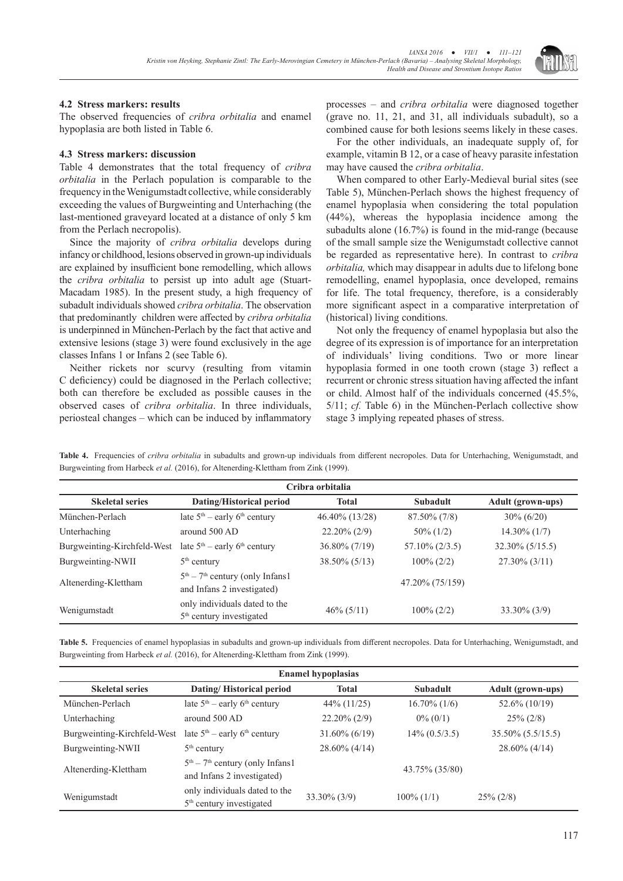

#### **4.2 Stress markers: results**

The observed frequencies of *cribra orbitalia* and enamel hypoplasia are both listed in Table 6.

# **4.3 Stress markers: discussion**

Table 4 demonstrates that the total frequency of *cribra orbitalia* in the Perlach population is comparable to the frequency in the Wenigumstadt collective, while considerably exceeding the values of Burgweinting and Unterhaching (the last-mentioned graveyard located at a distance of only 5 km from the Perlach necropolis).

Since the majority of *cribra orbitalia* develops during infancy or childhood, lesions observed in grown-up individuals are explained by insufficient bone remodelling, which allows the *cribra orbitalia* to persist up into adult age (Stuart-Macadam 1985). In the present study, a high frequency of subadult individuals showed *cribra orbitalia*. The observation that predominantly children were affected by *cribra orbitalia* is underpinned in München-Perlach by the fact that active and extensive lesions (stage 3) were found exclusively in the age classes Infans 1 or Infans 2 (see Table 6).

Neither rickets nor scurvy (resulting from vitamin C deficiency) could be diagnosed in the Perlach collective; both can therefore be excluded as possible causes in the observed cases of *cribra orbitalia*. In three individuals, periosteal changes – which can be induced by inflammatory processes – and *cribra orbitalia* were diagnosed together (grave no. 11, 21, and 31, all individuals subadult), so a combined cause for both lesions seems likely in these cases.

For the other individuals, an inadequate supply of, for example, vitamin B 12, or a case of heavy parasite infestation may have caused the *cribra orbitalia*.

When compared to other Early-Medieval burial sites (see Table 5), München-Perlach shows the highest frequency of enamel hypoplasia when considering the total population (44%), whereas the hypoplasia incidence among the subadults alone (16.7%) is found in the mid-range (because of the small sample size the Wenigumstadt collective cannot be regarded as representative here). In contrast to *cribra orbitalia,* which may disappear in adults due to lifelong bone remodelling, enamel hypoplasia, once developed, remains for life. The total frequency, therefore, is a considerably more significant aspect in a comparative interpretation of (historical) living conditions.

Not only the frequency of enamel hypoplasia but also the degree of its expression is of importance for an interpretation of individuals' living conditions. Two or more linear hypoplasia formed in one tooth crown (stage 3) reflect a recurrent or chronic stress situation having affected the infant or child. Almost half of the individuals concerned (45.5%, 5/11; *cf.* Table 6) in the München-Perlach collective show stage 3 implying repeated phases of stress.

**Table 4.** Frequencies of *cribra orbitalia* in subadults and grown-up individuals from different necropoles. Data for Unterhaching, Wenigumstadt, and Burgweinting from Harbeck *et al.* (2016), for Altenerding-Klettham from Zink (1999).

| Cribra orbitalia            |                                                                       |                  |                   |                          |  |
|-----------------------------|-----------------------------------------------------------------------|------------------|-------------------|--------------------------|--|
| <b>Skeletal series</b>      | Dating/Historical period                                              | <b>Total</b>     | Subadult          | <b>Adult</b> (grown-ups) |  |
| München-Perlach             | late $5th$ – early 6 <sup>th</sup> century                            | 46.40% (13/28)   | $87.50\%$ (7/8)   | $30\% (6/20)$            |  |
| Unterhaching                | around $500$ AD                                                       | $22.20\%$ (2/9)  | $50\%$ (1/2)      | $14.30\%$ (1/7)          |  |
| Burgweinting-Kirchfeld-West | late $5th$ – early 6 <sup>th</sup> century                            | $36.80\% (7/19)$ | $57.10\%$ (2/3.5) | $32.30\%$ (5/15.5)       |  |
| Burgweinting-NWII           | $5th$ century                                                         | $38.50\%$ (5/13) | $100\% (2/2)$     | $27.30\%$ (3/11)         |  |
| Altenerding-Klettham        | $5th - 7th$ century (only Infans1)<br>and Infans 2 investigated)      |                  | 47.20% (75/159)   |                          |  |
| Wenigumstadt                | only individuals dated to the<br>5 <sup>th</sup> century investigated | $46\% (5/11)$    | $100\% (2/2)$     | $33.30\%$ (3/9)          |  |

Table 5. Frequencies of enamel hypoplasias in subadults and grown-up individuals from different necropoles. Data for Unterhaching, Wenigumstadt, and Burgweinting from Harbeck *et al.* (2016), for Altenerding-Klettham from Zink (1999).

| <b>Enamel hypoplasias</b>   |                                                                       |                  |                  |                          |  |  |
|-----------------------------|-----------------------------------------------------------------------|------------------|------------------|--------------------------|--|--|
| <b>Skeletal series</b>      | Dating/Historical period                                              | <b>Total</b>     | <b>Subadult</b>  | <b>Adult</b> (grown-ups) |  |  |
| München-Perlach             | late $5th$ – early 6 <sup>th</sup> century                            | 44% (11/25)      | $16.70\%$ (1/6)  | 52.6% (10/19)            |  |  |
| Unterhaching                | around $500$ AD                                                       | $22.20\%$ (2/9)  | $0\%$ (0/1)      | $25\% (2/8)$             |  |  |
| Burgweinting-Kirchfeld-West | late $5th$ – early 6 <sup>th</sup> century                            | $31.60\%$ (6/19) | $14\% (0.5/3.5)$ | 35.50% (5.5/15.5)        |  |  |
| Burgweinting-NWII           | $5th$ century                                                         | $28.60\%$ (4/14) |                  | $28.60\%$ (4/14)         |  |  |
| Altenerding-Klettham        | $5th - 7th$ century (only Infans1<br>and Infans 2 investigated)       |                  | 43.75% (35/80)   |                          |  |  |
| Wenigumstadt                | only individuals dated to the<br>5 <sup>th</sup> century investigated | $33.30\%$ (3/9)  | $100\%$ (1/1)    | $25\% (2/8)$             |  |  |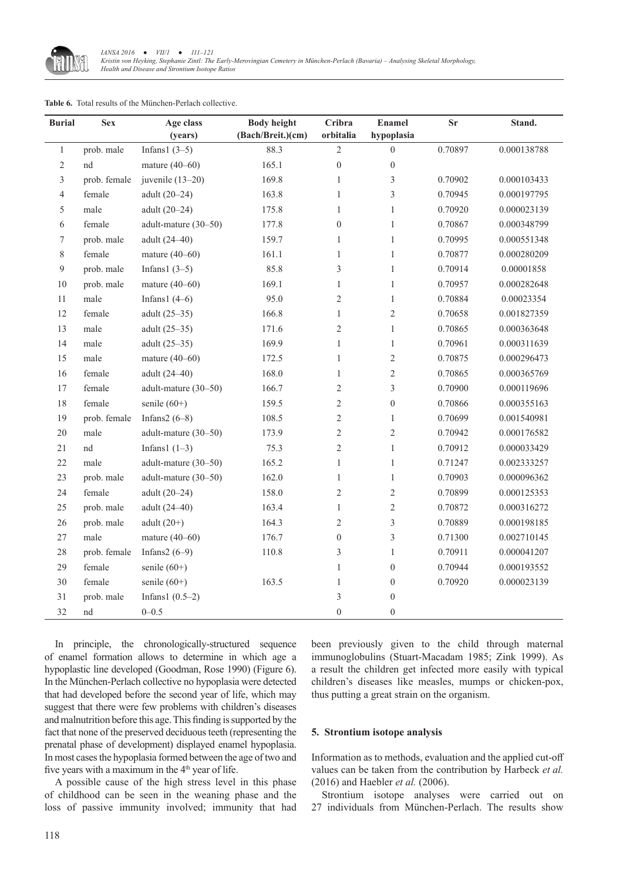

| <b>Burial</b> | <b>Sex</b>   | Age class            | <b>Body height</b> | Cribra           | <b>Enamel</b>    | $S_{r}$ | Stand.      |
|---------------|--------------|----------------------|--------------------|------------------|------------------|---------|-------------|
|               |              | (years)              | (Bach/Breit.)(cm)  | orbitalia        | hypoplasia       |         |             |
| $\mathbf{1}$  | prob. male   | Infans $1(3-5)$      | 88.3               | $\overline{2}$   | $\mathbf{0}$     | 0.70897 | 0.000138788 |
| 2             | nd           | mature $(40-60)$     | 165.1              | $\boldsymbol{0}$ | $\boldsymbol{0}$ |         |             |
| 3             | prob. female | juvenile $(13-20)$   | 169.8              | $\mathbf{1}$     | $\mathfrak{Z}$   | 0.70902 | 0.000103433 |
| 4             | female       | adult (20-24)        | 163.8              | $\mathbf{1}$     | 3                | 0.70945 | 0.000197795 |
| 5             | male         | adult (20-24)        | 175.8              | $\,1$            | $\,1$            | 0.70920 | 0.000023139 |
| 6             | female       | adult-mature (30-50) | 177.8              | $\boldsymbol{0}$ | $\mathbf{1}$     | 0.70867 | 0.000348799 |
| 7             | prob. male   | adult (24-40)        | 159.7              | $\,1$            | $\,1$            | 0.70995 | 0.000551348 |
| 8             | female       | mature $(40-60)$     | 161.1              | $\mathbf{1}$     | $\mathbf{1}$     | 0.70877 | 0.000280209 |
| 9             | prob. male   | Infans $1(3-5)$      | 85.8               | $\mathfrak{Z}$   | $\mathbf{1}$     | 0.70914 | 0.00001858  |
| $10\,$        | prob. male   | mature $(40-60)$     | 169.1              | $\mathbf{1}$     | $\mathbf{1}$     | 0.70957 | 0.000282648 |
| 11            | male         | Infans $1(4-6)$      | 95.0               | $\overline{2}$   | $\mathbf{1}$     | 0.70884 | 0.00023354  |
| $12\,$        | female       | adult $(25-35)$      | 166.8              | $\mathbf{1}$     | $\sqrt{2}$       | 0.70658 | 0.001827359 |
| 13            | male         | adult $(25-35)$      | 171.6              | $\sqrt{2}$       | $\mathbf{1}$     | 0.70865 | 0.000363648 |
| 14            | male         | adult $(25-35)$      | 169.9              | $\,1\,$          | $\,1$            | 0.70961 | 0.000311639 |
| 15            | male         | mature $(40-60)$     | 172.5              | $\mathbf{1}$     | $\sqrt{2}$       | 0.70875 | 0.000296473 |
| 16            | female       | adult (24-40)        | 168.0              | $\mathbf{1}$     | $\sqrt{2}$       | 0.70865 | 0.000365769 |
| $17\,$        | female       | adult-mature (30-50) | 166.7              | $\mathfrak{2}$   | $\overline{3}$   | 0.70900 | 0.000119696 |
| 18            | female       | senile $(60+)$       | 159.5              | $\sqrt{2}$       | $\boldsymbol{0}$ | 0.70866 | 0.000355163 |
| 19            | prob. female | Infans $2(6-8)$      | 108.5              | $\overline{2}$   | $\mathbf{1}$     | 0.70699 | 0.001540981 |
| $20\,$        | male         | adult-mature (30-50) | 173.9              | $\sqrt{2}$       | $\sqrt{2}$       | 0.70942 | 0.000176582 |
| 21            | $^{\rm nd}$  | Infans $1(1-3)$      | 75.3               | $\overline{c}$   | $\mathbf{1}$     | 0.70912 | 0.000033429 |
| $22\,$        | male         | adult-mature (30-50) | 165.2              | $\mathbf{1}$     | $\mathbf{1}$     | 0.71247 | 0.002333257 |
| 23            | prob. male   | adult-mature (30-50) | 162.0              | $\,1\,$          | $\mathbf{1}$     | 0.70903 | 0.000096362 |
| 24            | female       | adult (20-24)        | 158.0              | $\sqrt{2}$       | $\sqrt{2}$       | 0.70899 | 0.000125353 |
| 25            | prob. male   | adult (24-40)        | 163.4              | $\mathbf{1}$     | $\sqrt{2}$       | 0.70872 | 0.000316272 |
| 26            | prob. male   | adult $(20+)$        | 164.3              | $\mathfrak{2}$   | $\sqrt{3}$       | 0.70889 | 0.000198185 |
| 27            | male         | mature $(40-60)$     | 176.7              | $\boldsymbol{0}$ | 3                | 0.71300 | 0.002710145 |
| $28\,$        | prob. female | Infans $2(6-9)$      | 110.8              | 3                | $\mathbf{1}$     | 0.70911 | 0.000041207 |
| 29            | female       | senile $(60+)$       |                    | $\mathbf{1}$     | $\boldsymbol{0}$ | 0.70944 | 0.000193552 |
| $30\,$        | female       | senile $(60+)$       | 163.5              | $\mathbf{1}$     | $\boldsymbol{0}$ | 0.70920 | 0.000023139 |
| 31            | prob. male   | Infans1 $(0.5-2)$    |                    | 3                | $\boldsymbol{0}$ |         |             |
| 32            | nd           | $0 - 0.5$            |                    | $\boldsymbol{0}$ | $\boldsymbol{0}$ |         |             |

#### **Table 6.** Total results of the München-Perlach collective.

In principle, the chronologically-structured sequence of enamel formation allows to determine in which age a hypoplastic line developed (Goodman, Rose 1990) (Figure 6). In the München-Perlach collective no hypoplasia were detected that had developed before the second year of life, which may suggest that there were few problems with children's diseases and malnutrition before this age. This finding is supported by the fact that none of the preserved deciduous teeth (representing the prenatal phase of development) displayed enamel hypoplasia. In most cases the hypoplasia formed between the age of two and five years with a maximum in the 4<sup>th</sup> year of life.

A possible cause of the high stress level in this phase of childhood can be seen in the weaning phase and the loss of passive immunity involved; immunity that had been previously given to the child through maternal immunoglobulins (Stuart-Macadam 1985; Zink 1999). As a result the children get infected more easily with typical children's diseases like measles, mumps or chicken-pox, thus putting a great strain on the organism.

#### **5. Strontium isotope analysis**

Information as to methods, evaluation and the applied cut-off values can be taken from the contribution by Harbeck *et al.* (2016) and Haebler *et al.* (2006).

Strontium isotope analyses were carried out on 27 individuals from München-Perlach. The results show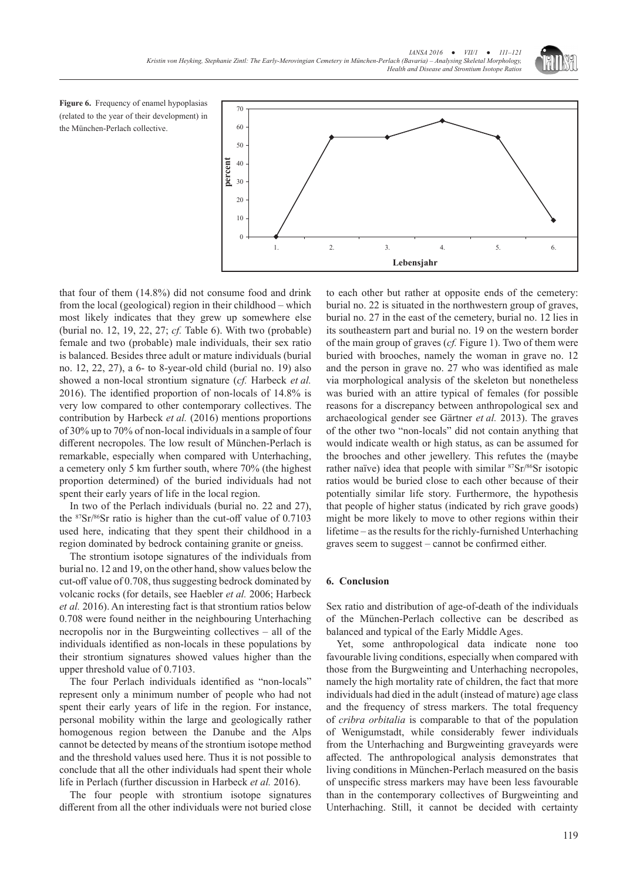

Figure 6. Frequency of enamel hypoplasias (related to the year of their development) in the München-Perlach collective.



that four of them (14.8%) did not consume food and drink from the local (geological) region in their childhood – which most likely indicates that they grew up somewhere else (burial no. 12, 19, 22, 27; *cf.* Table 6). With two (probable) female and two (probable) male individuals, their sex ratio is balanced. Besides three adult or mature individuals (burial no. 12, 22, 27), a 6- to 8-year-old child (burial no. 19) also showed a non-local strontium signature (*cf.* Harbeck *et al.* 2016). The identified proportion of non-locals of 14.8% is very low compared to other contemporary collectives. The contribution by Harbeck *et al.* (2016) mentions proportions of 30% up to 70% of non-local individuals in a sample of four different necropoles. The low result of München-Perlach is remarkable, especially when compared with Unterhaching, a cemetery only 5 km further south, where 70% (the highest proportion determined) of the buried individuals had not spent their early years of life in the local region.

In two of the Perlach individuals (burial no. 22 and 27), the <sup>87</sup>Sr/86Sr ratio is higher than the cut-off value of 0.7103 used here, indicating that they spent their childhood in a region dominated by bedrock containing granite or gneiss.

The strontium isotope signatures of the individuals from burial no. 12 and 19, on the other hand, show values below the cut-off value of 0.708, thus suggesting bedrock dominated by volcanic rocks (for details, see Haebler *et al.* 2006; Harbeck *et al.* 2016). An interesting fact is that strontium ratios below 0.708 were found neither in the neighbouring Unterhaching necropolis nor in the Burgweinting collectives – all of the individuals identified as non-locals in these populations by their strontium signatures showed values higher than the upper threshold value of 0.7103.

The four Perlach individuals identified as "non-locals" represent only a minimum number of people who had not spent their early years of life in the region. For instance, personal mobility within the large and geologically rather homogenous region between the Danube and the Alps cannot be detected by means of the strontium isotope method and the threshold values used here. Thus it is not possible to conclude that all the other individuals had spent their whole life in Perlach (further discussion in Harbeck *et al.* 2016).

The four people with strontium isotope signatures different from all the other individuals were not buried close to each other but rather at opposite ends of the cemetery: burial no. 22 is situated in the northwestern group of graves, burial no. 27 in the east of the cemetery, burial no. 12 lies in its southeastern part and burial no. 19 on the western border of the main group of graves (*cf.* Figure 1). Two of them were buried with brooches, namely the woman in grave no. 12 and the person in grave no. 27 who was identified as male via morphological analysis of the skeleton but nonetheless was buried with an attire typical of females (for possible reasons for a discrepancy between anthropological sex and archaeological gender see Gärtner *et al.* 2013). The graves of the other two "non-locals" did not contain anything that would indicate wealth or high status, as can be assumed for the brooches and other jewellery. This refutes the (maybe rather naïve) idea that people with similar <sup>87</sup>Sr/86Sr isotopic ratios would be buried close to each other because of their potentially similar life story. Furthermore, the hypothesis that people of higher status (indicated by rich grave goods) might be more likely to move to other regions within their lifetime – as the results for the richly-furnished Unterhaching graves seem to suggest – cannot be confirmed either.

# **6. Conclusion**

Sex ratio and distribution of age-of-death of the individuals of the München-Perlach collective can be described as balanced and typical of the Early Middle Ages.

Yet, some anthropological data indicate none too favourable living conditions, especially when compared with those from the Burgweinting and Unterhaching necropoles, namely the high mortality rate of children, the fact that more individuals had died in the adult (instead of mature) age class and the frequency of stress markers. The total frequency of *cribra orbitalia* is comparable to that of the population of Wenigumstadt, while considerably fewer individuals from the Unterhaching and Burgweinting graveyards were affected. The anthropological analysis demonstrates that living conditions in München-Perlach measured on the basis of unspecific stress markers may have been less favourable than in the contemporary collectives of Burgweinting and Unterhaching. Still, it cannot be decided with certainty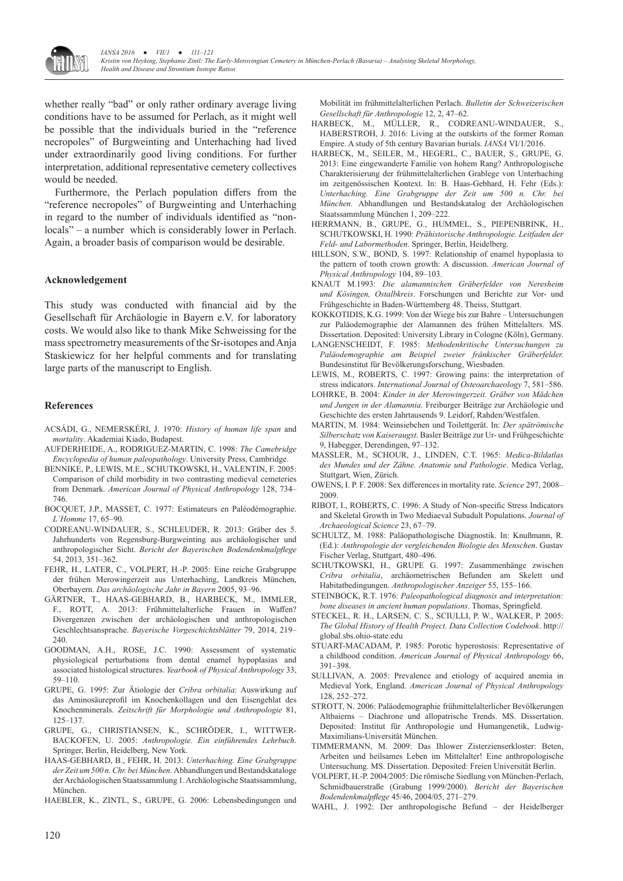

whether really "bad" or only rather ordinary average living conditions have to be assumed for Perlach, as it might well be possible that the individuals buried in the "reference necropoles" of Burgweinting and Unterhaching had lived under extraordinarily good living conditions. For further interpretation, additional representative cemetery collectives would be needed.

Furthermore, the Perlach population differs from the "reference necropoles" of Burgweinting and Unterhaching in regard to the number of individuals identified as "nonlocals" – a number which is considerably lower in Perlach. Again, a broader basis of comparison would be desirable.

#### **Acknowledgement**

This study was conducted with financial aid by the Gesellschaft für Archäologie in Bayern e.V. for laboratory costs. We would also like to thank Mike Schweissing for the mass spectrometry measurements of the Sr-isotopes and Anja Staskiewicz for her helpful comments and for translating large parts of the manuscript to English.

#### **References**

- ACSÁDI, G., NEMERSKÉRI, J. 1970: *History of human life span* and *mortality*. Akademiai Kiado, Budapest.
- AUFDERHEIDE, A., RODRIGUEZ-MARTIN, C. 1998: *The Camebridge Encyclopedia of human paleopathology*. University Press, Cambridge.
- BENNIKE, P., LEWIS, M.E., SCHUTKOWSKI, H., VALENTIN, F. 2005: Comparison of child morbidity in two contrasting medieval cemeteries from Denmark. *American Journal of Physical Anthropology* 128, 734– 746.
- BOCQUET, J.P., MASSET, C. 1977: Estimateurs en Paléodémographie. *L`Homme* 17, 65–90.
- CODREANU-WINDAUER, S., SCHLEUDER, R. 2013: Gräber des 5. Jahrhunderts von Regensburg-Burgweinting aus archäologischer und anthropologischer Sicht. *Bericht der Bayerischen Bodendenkmalpflege* 54, 2013, 351–362.
- FEHR, H., LATER, C., VOLPERT, H.-P. 2005: Eine reiche Grabgruppe der frühen Merowingerzeit aus Unterhaching, Landkreis München, Oberbayern. *Das archäologische Jahr in Bayern* 2005, 93–96.
- GÄRTNER, T., HAAS-GEBHARD, B., HARBECK, M., IMMLER, F., ROTT, A. 2013: Frühmittelalterliche Frauen in Waffen? Divergenzen zwischen der archäologischen und anthropologischen Geschlechtsansprache. *Bayerische Vorgeschichtsblätter* 79, 2014, 219– 240.
- GOODMAN, A.H., ROSE, J.C. 1990: Assessment of systematic physiological perturbations from dental enamel hypoplasias and associated histological structures. *Yearbook of Physical Anthropology* 33, 59–110.
- GRUPE, G. 1995: Zur Ätiologie der *Cribra orbitalia*: Auswirkung auf das Aminosäureprofil im Knochenkollagen und den Eisengehlat des Knochenminerals. *Zeitschrift für Morphologie und Anthropologie* 81, 125–137.
- GRUPE, G., CHRISTIANSEN, K., SCHRÖDER, I., WITTWER-BACKOFEN, U. 2005: *Anthropologie. Ein einführendes Lehrbuch*. Springer, Berlin, Heidelberg, New York.
- HAAS-GEBHARD, B., FEHR, H. 2013: *Unterhaching. Eine Grabgruppe der Zeit um 500 n. Chr. bei München.* Abhandlungen und Bestandskataloge der Archäologischen Staatssammlung 1. Archäologische Staatssammlung, München.

HAEBLER, K., ZINTL, S., GRUPE, G. 2006: Lebensbedingungen und

Mobilität im frühmittelalterlichen Perlach. *Bulletin der Schweizerischen Gesellschaft für Anthropologie* 12, 2, 47–62.

- HARBECK, M., MÜLLER, R., CODREANU-WINDAUER, S., HABERSTROH, J. 2016: Living at the outskirts of the former Roman Empire. A study of 5th century Bavarian burials. *IANSA* VI/1/2016.
- HARBECK, M., SEILER, M., HEGERL, C., BAUER, S., GRUPE, G. 2013: Eine eingewanderte Familie von hohem Rang? Anthropologische Charakterisierung der frühmittelalterlichen Grablege von Unterhaching im zeitgenössischen Kontext. In: B. Haas-Gebhard, H. Fehr (Eds.): *Unterhaching. Eine Grabgruppe der Zeit um 500 n. Chr. bei München.* Abhandlungen und Bestandskatalog der Archäologischen Staatssammlung München 1, 209–222.
- HERRMANN, B., GRUPE, G., HUMMEL, S., PIEPENBRINK, H., SCHUTKOWSKI, H. 1990: *Prähistorische Anthropologie. Leitfaden der Feld- und Labormethoden*. Springer, Berlin, Heidelberg.
- HILLSON, S.W., BOND, S. 1997: Relationship of enamel hypoplasia to the pattern of tooth crown growth: A discussion. *American Journal of Physical Anthropology* 104, 89–103.
- KNAUT M.1993: *Die alamannischen Gräberfelder von Neresheim und Kösingen, Ostalbkreis*. Forschungen und Berichte zur Vor- und Frühgeschichte in Baden-Württemberg 48. Theiss, Stuttgart.
- KOKKOTIDIS, K.G. 1999: Von der Wiege bis zur Bahre Untersuchungen zur Paläodemographie der Alamannen des frühen Mittelalters. MS. Dissertation. Deposited: University Library in Cologne (Köln), Germany.
- LANGENSCHEIDT, F. 1985: *Methodenkritische Untersuchungen zu Paläodemographie am Beispiel zweier fränkischer Gräberfelder.* Bundesinstitut für Bevölkerungsforschung, Wiesbaden.
- LEWIS, M., ROBERTS, C. 1997: Growing pains: the interpretation of stress indicators. *International Journal of Osteoarchaeology* 7, 581–586.
- LOHRKE, B. 2004: *Kinder in der Merowingerzeit. Gräber von Mädchen und Jungen in der Alamannia*. Freiburger Beiträge zur Archäologie und Geschichte des ersten Jahrtausends 9. Leidorf, Rahden/Westfalen.
- MARTIN, M. 1984: Weinsiebchen und Toilettgerät. In: *Der spätrömische Silberschatz von Kaiseraugst*. Basler Beiträge zur Ur- und Frühgeschichte 9, Habegger, Derendingen, 97–132.
- MASSLER, M., SCHOUR, J., LINDEN, C.T. 1965: *Medica-Bildatlas des Mundes und der Zähne. Anatomie und Pathologie*. Medica Verlag, Stuttgart, Wien, Zürich.
- OWENS, I. P. F. 2008: Sex differences in mortality rate. *Science* 297, 2008– 2009.
- RIBOT, I., ROBERTS, C. 1996: A Study of Non-specific Stress Indicators and Skeletal Growth in Two Mediaeval Subadult Populations. *Journal of Archaeological Science* 23, 67–79.
- SCHULTZ, M. 1988: Paläopathologische Diagnostik. In: Knußmann, R. (Ed.): *Anthropologie der vergleichenden Biologie des Menschen*. Gustav Fischer Verlag, Stuttgart, 480–496.
- SCHUTKOWSKI, H., GRUPE G. 1997: Zusammenhänge zwischen *Cribra orbitalia*, archäometrischen Befunden am Skelett und Habitatbedingungen. *Anthropologischer Anzeiger* 55, 155–166.
- STEINBOCK, R.T. 1976: *Paleopathological diagnosis and interpretation: bone diseases in ancient human populations*. Thomas, Springfield.
- STECKEL, R. H., LARSEN, C. S., SCIULLI, P. W., WALKER, P. 2005: *The Global History of Health Project. Data Collection Codebook*. http:// global.sbs.ohio-state.edu
- STUART-MACADAM, P. 1985: Porotic hyperostosis: Representative of a childhood condition. *American Journal of Physical Anthropology* 66, 391–398.
- SULLIVAN, A. 2005: Prevalence and etiology of acquired anemia in Medieval York, England. *American Journal of Physical Anthropology* 128, 252–272.
- STROTT, N. 2006: Paläodemographie frühmittelalterlicher Bevölkerungen Altbaierns – Diachrone und allopatrische Trends. MS. Dissertation. Deposited: Institut für Anthropologie und Humangenetik, Ludwig-Maximilians-Universität München.
- TIMMERMANN, M. 2009: Das Ihlower Zisterzienserkloster: Beten, Arbeiten und heilsames Leben im Mittelalter! Eine anthropologische Untersuchung. MS. Dissertation. Deposited: Freien Universität Berlin.
- VOLPERT, H.-P. 2004/2005: Die römische Siedlung von München-Perlach, Schmidbauerstraße (Grabung 1999/2000). *Bericht der Bayerischen Bodendenkmalpflege* 45/46, 2004/05, 271–279.
- WAHL, J. 1992: Der anthropologische Befund der Heidelberger